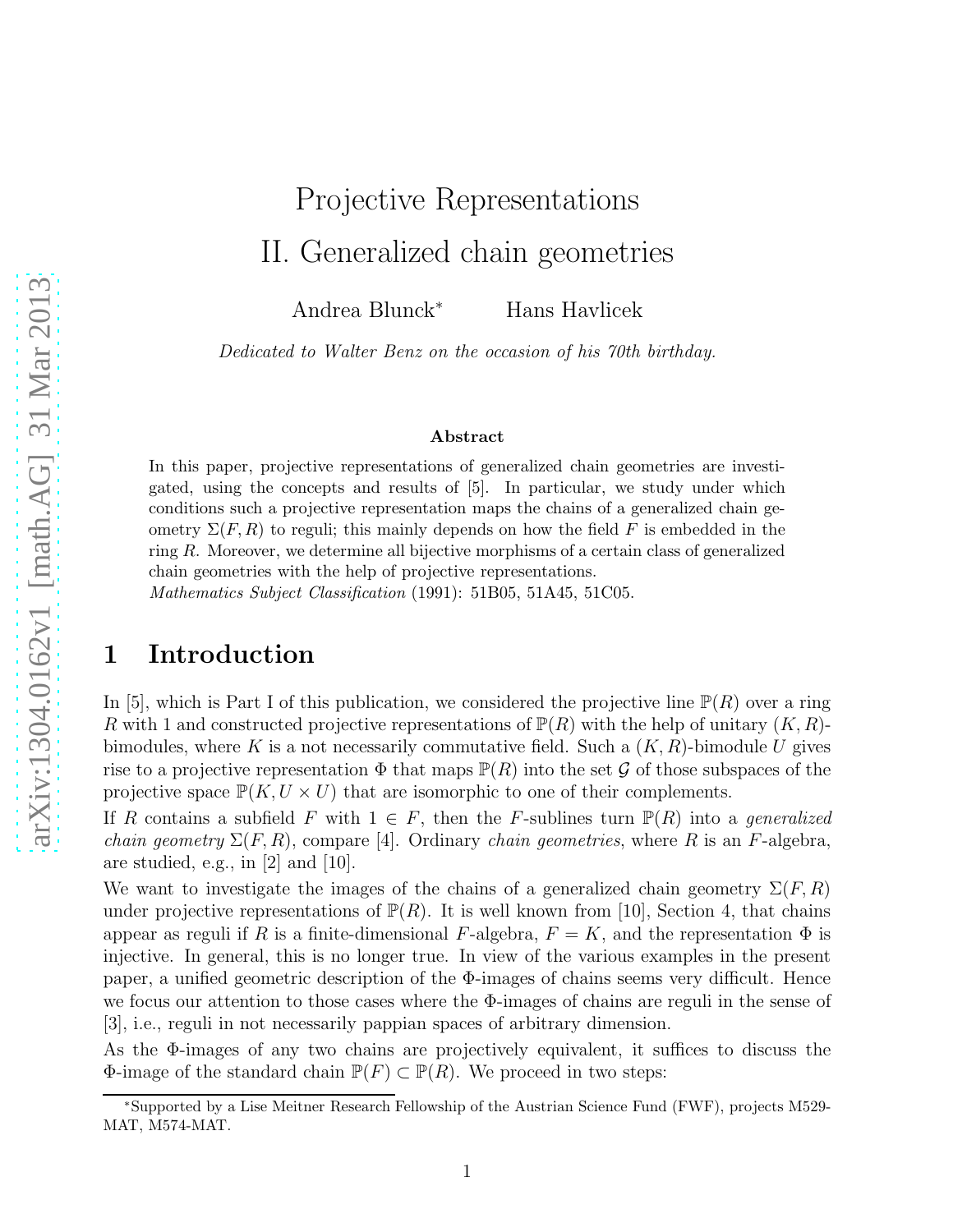# Projective Representations II. Generalized chain geometries

Andrea Blunck<sup>∗</sup> Hans Havlicek

*Dedicated to Walter Benz on the occasion of his 70th birthday.*

#### Abstract

In this paper, projective representations of generalized chain geometries are investigated, using the concepts and results of [5]. In particular, we study under which conditions such a projective representation maps the chains of a generalized chain geometry  $\Sigma(F, R)$  to reguli; this mainly depends on how the field F is embedded in the ring R. Moreover, we determine all bijective morphisms of a certain class of generalized chain geometries with the help of projective representations.

Mathematics Subject Classification (1991): 51B05, 51A45, 51C05.

# 1 Introduction

In [5], which is Part I of this publication, we considered the projective line  $\mathbb{P}(R)$  over a ring R with 1 and constructed projective representations of  $\mathbb{P}(R)$  with the help of unitary  $(K, R)$ bimodules, where K is a not necessarily commutative field. Such a  $(K, R)$ -bimodule U gives rise to a projective representation  $\Phi$  that maps  $\mathbb{P}(R)$  into the set G of those subspaces of the projective space  $\mathbb{P}(K, U \times U)$  that are isomorphic to one of their complements.

If R contains a subfield F with  $1 \in F$ , then the F-sublines turn  $\mathbb{P}(R)$  into a *generalized chain geometry*  $\Sigma(F, R)$ , compare [4]. Ordinary *chain geometries*, where R is an F-algebra, are studied, e.g., in [2] and [10].

We want to investigate the images of the chains of a generalized chain geometry  $\Sigma(F, R)$ under projective representations of  $\mathbb{P}(R)$ . It is well known from [10], Section 4, that chains appear as reguli if R is a finite-dimensional F-algebra,  $F = K$ , and the representation  $\Phi$  is injective. In general, this is no longer true. In view of the various examples in the present paper, a unified geometric description of the  $\Phi$ -images of chains seems very difficult. Hence we focus our attention to those cases where the Φ-images of chains are reguli in the sense of [3], i.e., reguli in not necessarily pappian spaces of arbitrary dimension.

As the Φ-images of any two chains are projectively equivalent, it suffices to discuss the Φ-image of the standard chain  $\mathbb{P}(F) \subset \mathbb{P}(R)$ . We proceed in two steps:

<sup>∗</sup>Supported by a Lise Meitner Research Fellowship of the Austrian Science Fund (FWF), projects M529- MAT, M574-MAT.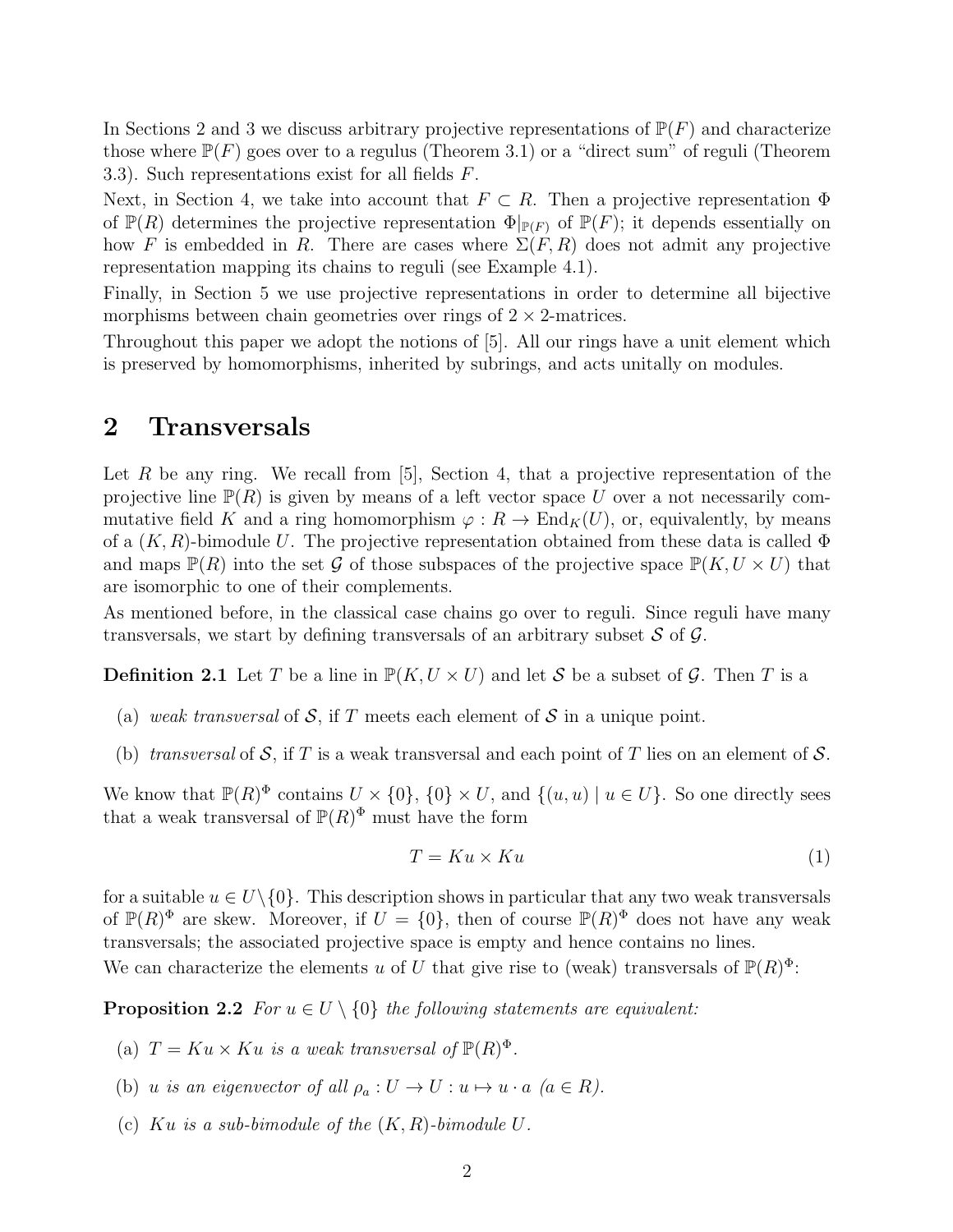In Sections 2 and 3 we discuss arbitrary projective representations of  $\mathbb{P}(F)$  and characterize those where  $\mathbb{P}(F)$  goes over to a regulus (Theorem 3.1) or a "direct sum" of reguli (Theorem 3.3). Such representations exist for all fields  $F$ .

Next, in Section 4, we take into account that  $F \subset R$ . Then a projective representation  $\Phi$ of  $\mathbb{P}(R)$  determines the projective representation  $\Phi|_{\mathbb{P}(F)}$  of  $\mathbb{P}(F)$ ; it depends essentially on how F is embedded in R. There are cases where  $\Sigma(F, R)$  does not admit any projective representation mapping its chains to reguli (see Example 4.1).

Finally, in Section 5 we use projective representations in order to determine all bijective morphisms between chain geometries over rings of  $2 \times 2$ -matrices.

Throughout this paper we adopt the notions of [5]. All our rings have a unit element which is preserved by homomorphisms, inherited by subrings, and acts unitally on modules.

#### 2 Transversals

Let R be any ring. We recall from  $[5]$ , Section 4, that a projective representation of the projective line  $\mathbb{P}(R)$  is given by means of a left vector space U over a not necessarily commutative field K and a ring homomorphism  $\varphi: R \to \text{End}_K(U)$ , or, equivalently, by means of a  $(K, R)$ -bimodule U. The projective representation obtained from these data is called  $\Phi$ and maps  $\mathbb{P}(R)$  into the set G of those subspaces of the projective space  $\mathbb{P}(K, U \times U)$  that are isomorphic to one of their complements.

As mentioned before, in the classical case chains go over to reguli. Since reguli have many transversals, we start by defining transversals of an arbitrary subset  $\mathcal S$  of  $\mathcal G$ .

**Definition 2.1** Let T be a line in  $\mathbb{P}(K, U \times U)$  and let S be a subset of G. Then T is a

- (a) *weak transversal* of S, if T meets each element of S in a unique point.
- (b) *transversal* of S, if T is a weak transversal and each point of T lies on an element of S.

We know that  $\mathbb{P}(R)^{\Phi}$  contains  $U \times \{0\}$ ,  $\{0\} \times U$ , and  $\{(u, u) \mid u \in U\}$ . So one directly sees that a weak transversal of  $P(R)^{\Phi}$  must have the form

$$
T = Ku \times Ku \tag{1}
$$

for a suitable  $u \in U \setminus \{0\}$ . This description shows in particular that any two weak transversals of  $\mathbb{P}(R)^{\Phi}$  are skew. Moreover, if  $U = \{0\}$ , then of course  $\mathbb{P}(R)^{\Phi}$  does not have any weak transversals; the associated projective space is empty and hence contains no lines.

We can characterize the elements u of U that give rise to (weak) transversals of  $\mathbb{P}(R)^{\Phi}$ :

**Proposition 2.2** *For*  $u \in U \setminus \{0\}$  *the following statements are equivalent:* 

- (a)  $T = Ku \times Ku$  *is a weak transversal of*  $\mathbb{P}(R)^{\Phi}$ *.*
- (b) u *is an eigenvector of all*  $\rho_a: U \to U: u \mapsto u \cdot a \ (a \in R)$ .
- (c) Ku *is a sub-bimodule of the* (K, R)*-bimodule* U*.*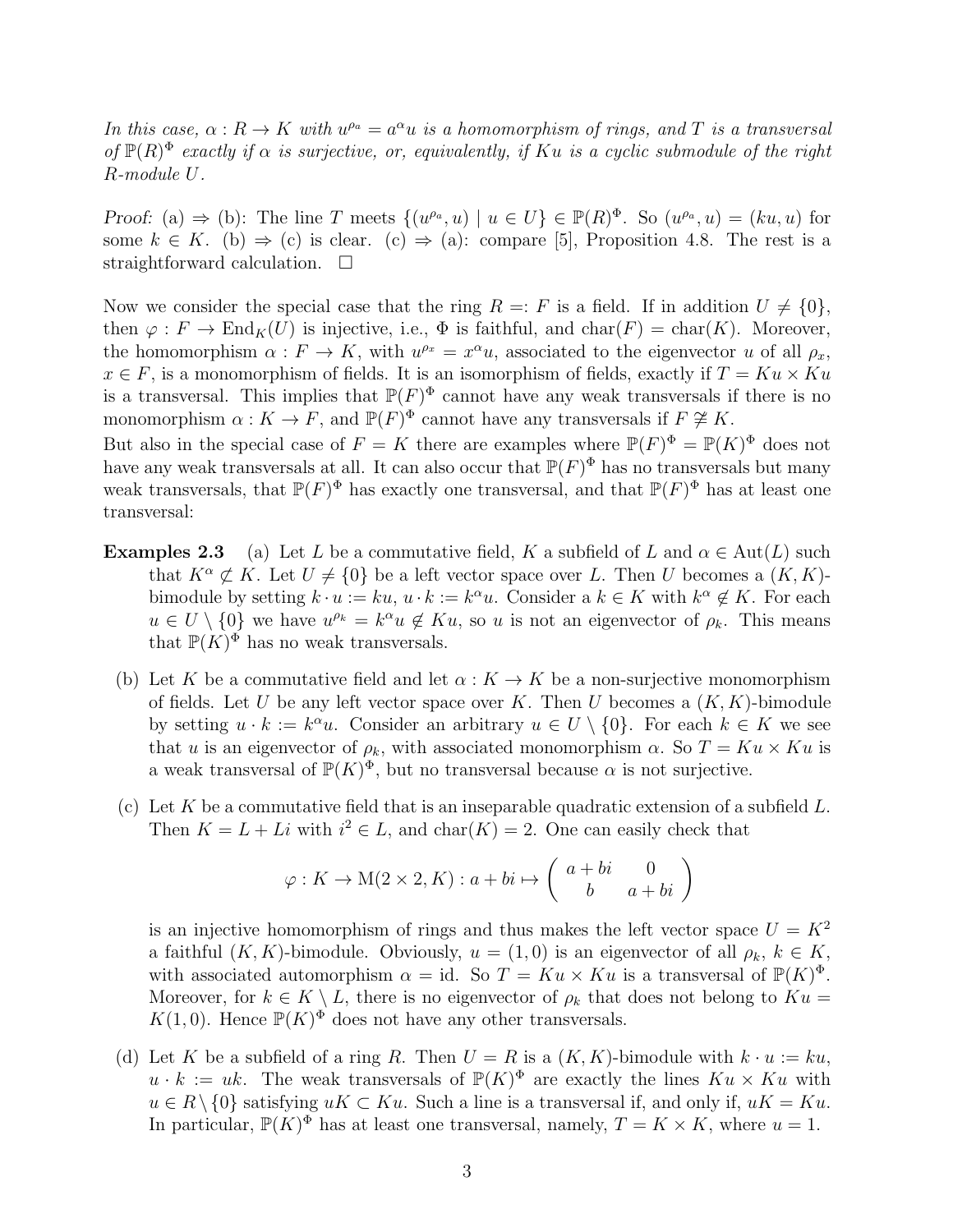*In this case,*  $\alpha$ :  $R \to K$  *with*  $u^{\rho_a} = a^{\alpha} u$  *is a homomorphism of rings, and* T *is a transversal* of  $\mathbb{P}(R)^{\Phi}$  *exactly if*  $\alpha$  *is surjective, or, equivalently, if*  $Ku$  *is a cyclic submodule of the right* R*-module* U*.*

Proof: (a)  $\Rightarrow$  (b): The line T meets  $\{(u^{\rho_a}, u) \mid u \in U\} \in \mathbb{P}(R)^{\Phi}$ . So  $(u^{\rho_a}, u) = (ku, u)$  for some  $k \in K$ . (b)  $\Rightarrow$  (c) is clear. (c)  $\Rightarrow$  (a): compare [5], Proposition 4.8. The rest is a straightforward calculation.  $\square$ 

Now we consider the special case that the ring  $R =: F$  is a field. If in addition  $U \neq \{0\},\$ then  $\varphi : F \to \text{End}_K(U)$  is injective, i.e.,  $\Phi$  is faithful, and char(F) = char(K). Moreover, the homomorphism  $\alpha : F \to K$ , with  $u^{\rho_x} = x^{\alpha}u$ , associated to the eigenvector u of all  $\rho_x$ ,  $x \in F$ , is a monomorphism of fields. It is an isomorphism of fields, exactly if  $T = Ku \times Ku$ is a transversal. This implies that  $\mathbb{P}(F)^{\Phi}$  cannot have any weak transversals if there is no monomorphism  $\alpha: K \to F$ , and  $\mathbb{P}(F)^{\Phi}$  cannot have any transversals if  $F \not\cong K$ . But also in the special case of  $F = K$  there are examples where  $\mathbb{P}(F)^{\Phi} = \mathbb{P}(K)^{\Phi}$  does not have any weak transversals at all. It can also occur that  $\mathbb{P}(F)^{\Phi}$  has no transversals but many

weak transversals, that  $\mathbb{P}(F)^{\Phi}$  has exactly one transversal, and that  $\mathbb{P}(F)^{\Phi}$  has at least one transversal:

- **Examples 2.3** (a) Let L be a commutative field, K a subfield of L and  $\alpha \in \text{Aut}(L)$  such that  $K^{\alpha} \not\subset K$ . Let  $U \neq \{0\}$  be a left vector space over L. Then U becomes a  $(K, K)$ bimodule by setting  $k \cdot u := ku$ ,  $u \cdot k := k^{\alpha}u$ . Consider a  $k \in K$  with  $k^{\alpha} \notin K$ . For each  $u \in U \setminus \{0\}$  we have  $u^{\rho_k} = k^{\alpha} u \notin Ku$ , so u is not an eigenvector of  $\rho_k$ . This means that  $\mathbb{P}(K)^{\Phi}$  has no weak transversals.
	- (b) Let K be a commutative field and let  $\alpha: K \to K$  be a non-surjective monomorphism of fields. Let U be any left vector space over K. Then U becomes a  $(K, K)$ -bimodule by setting  $u \cdot k := k^{\alpha}u$ . Consider an arbitrary  $u \in U \setminus \{0\}$ . For each  $k \in K$  we see that u is an eigenvector of  $\rho_k$ , with associated monomorphism  $\alpha$ . So  $T = Ku \times Ku$  is a weak transversal of  $\mathbb{P}(K)^{\Phi}$ , but no transversal because  $\alpha$  is not surjective.
	- (c) Let K be a commutative field that is an inseparable quadratic extension of a subfield  $L$ . Then  $K = L + Li$  with  $i^2 \in L$ , and char $(K) = 2$ . One can easily check that

$$
\varphi: K \to M(2 \times 2, K): a + bi \mapsto \begin{pmatrix} a + bi & 0 \\ b & a + bi \end{pmatrix}
$$

is an injective homomorphism of rings and thus makes the left vector space  $U = K^2$ a faithful  $(K, K)$ -bimodule. Obviously,  $u = (1, 0)$  is an eigenvector of all  $\rho_k, k \in K$ , with associated automorphism  $\alpha = id$ . So  $T = Ku \times Ku$  is a transversal of  $\mathbb{P}(K)^{\Phi}$ . Moreover, for  $k \in K \setminus L$ , there is no eigenvector of  $\rho_k$  that does not belong to  $Ku =$  $K(1,0)$ . Hence  $\mathbb{P}(K)^{\Phi}$  does not have any other transversals.

(d) Let K be a subfield of a ring R. Then  $U = R$  is a  $(K, K)$ -bimodule with  $k \cdot u := ku$ ,  $u \cdot k := uk$ . The weak transversals of  $\mathbb{P}(K)^{\Phi}$  are exactly the lines  $Ku \times Ku$  with  $u \in R \setminus \{0\}$  satisfying  $uK \subset Ku$ . Such a line is a transversal if, and only if,  $uK = Ku$ . In particular,  $\mathbb{P}(K)^{\Phi}$  has at least one transversal, namely,  $T = K \times K$ , where  $u = 1$ .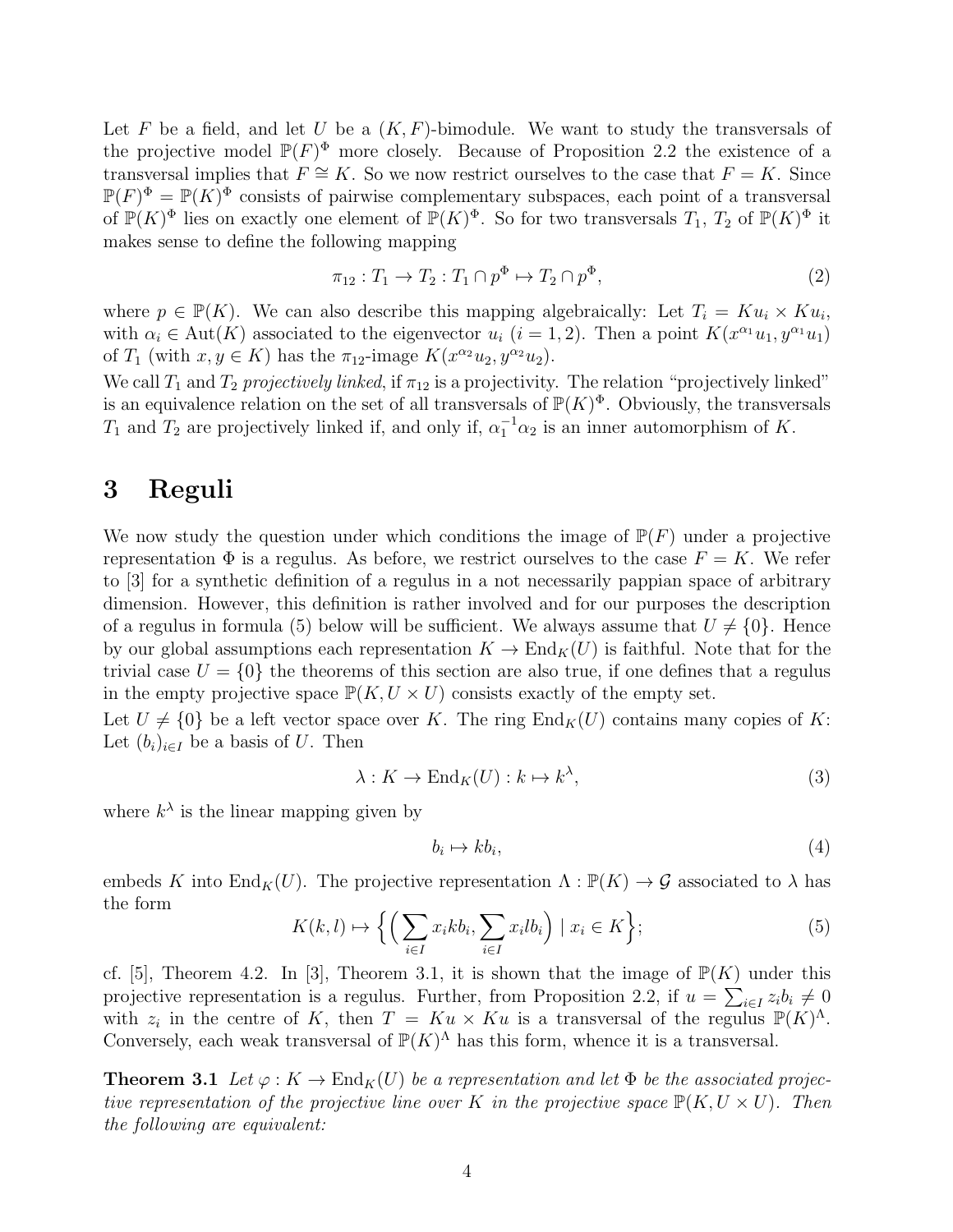Let F be a field, and let U be a  $(K, F)$ -bimodule. We want to study the transversals of the projective model  $\mathbb{P}(F)^{\Phi}$  more closely. Because of Proposition 2.2 the existence of a transversal implies that  $F \cong K$ . So we now restrict ourselves to the case that  $F = K$ . Since  $\mathbb{P}(F)^{\Phi} = \mathbb{P}(K)^{\Phi}$  consists of pairwise complementary subspaces, each point of a transversal of  $\mathbb{P}(K)^{\Phi}$  lies on exactly one element of  $\mathbb{P}(K)^{\Phi}$ . So for two transversals  $T_1$ ,  $T_2$  of  $\mathbb{P}(K)^{\Phi}$  it makes sense to define the following mapping

$$
\pi_{12}: T_1 \to T_2: T_1 \cap p^{\Phi} \to T_2 \cap p^{\Phi}, \tag{2}
$$

where  $p \in \mathbb{P}(K)$ . We can also describe this mapping algebraically: Let  $T_i = K u_i \times K u_i$ , with  $\alpha_i \in \text{Aut}(K)$  associated to the eigenvector  $u_i$   $(i = 1, 2)$ . Then a point  $K(x^{\alpha_1}u_1, y^{\alpha_1}u_1)$ of  $T_1$  (with  $x, y \in K$ ) has the  $\pi_{12}$ -image  $K(x^{\alpha_2}u_2, y^{\alpha_2}u_2)$ .

We call  $T_1$  and  $T_2$  *projectively linked*, if  $\pi_{12}$  is a projectivity. The relation "projectively linked" is an equivalence relation on the set of all transversals of  $\mathbb{P}(K)^{\Phi}$ . Obviously, the transversals  $T_1$  and  $T_2$  are projectively linked if, and only if,  $\alpha_1^{-1}\alpha_2$  is an inner automorphism of K.

## 3 Reguli

We now study the question under which conditions the image of  $\mathbb{P}(F)$  under a projective representation  $\Phi$  is a regulus. As before, we restrict ourselves to the case  $F = K$ . We refer to [3] for a synthetic definition of a regulus in a not necessarily pappian space of arbitrary dimension. However, this definition is rather involved and for our purposes the description of a regulus in formula (5) below will be sufficient. We always assume that  $U \neq \{0\}$ . Hence by our global assumptions each representation  $K \to \text{End}_K(U)$  is faithful. Note that for the trivial case  $U = \{0\}$  the theorems of this section are also true, if one defines that a regulus in the empty projective space  $\mathbb{P}(K, U \times U)$  consists exactly of the empty set.

Let  $U \neq \{0\}$  be a left vector space over K. The ring  $\text{End}_K(U)$  contains many copies of K: Let  $(b_i)_{i\in I}$  be a basis of U. Then

$$
\lambda: K \to \mathrm{End}_K(U): k \mapsto k^{\lambda},\tag{3}
$$

where  $k^{\lambda}$  is the linear mapping given by

$$
b_i \mapsto k b_i,\tag{4}
$$

embeds K into  $\text{End}_K(U)$ . The projective representation  $\Lambda : \mathbb{P}(K) \to \mathcal{G}$  associated to  $\lambda$  has the form

$$
K(k,l) \mapsto \left\{ \left( \sum_{i \in I} x_i k b_i, \sum_{i \in I} x_i l b_i \right) \mid x_i \in K \right\};\tag{5}
$$

cf. [5], Theorem 4.2. In [3], Theorem 3.1, it is shown that the image of  $\mathbb{P}(K)$  under this projective representation is a regulus. Further, from Proposition 2.2, if  $u = \sum_{i \in I} z_i b_i \neq 0$ with  $z_i$  in the centre of K, then  $T = Ku \times Ku$  is a transversal of the regulus  $\mathbb{P}(K)^{\Lambda}$ . Conversely, each weak transversal of  $\mathbb{P}(K)^{\Lambda}$  has this form, whence it is a transversal.

**Theorem 3.1** Let  $\varphi: K \to \text{End}_K(U)$  be a representation and let  $\Phi$  be the associated projec*tive representation of the projective line over* K *in the projective space*  $\mathbb{P}(K, U \times U)$ *. Then the following are equivalent:*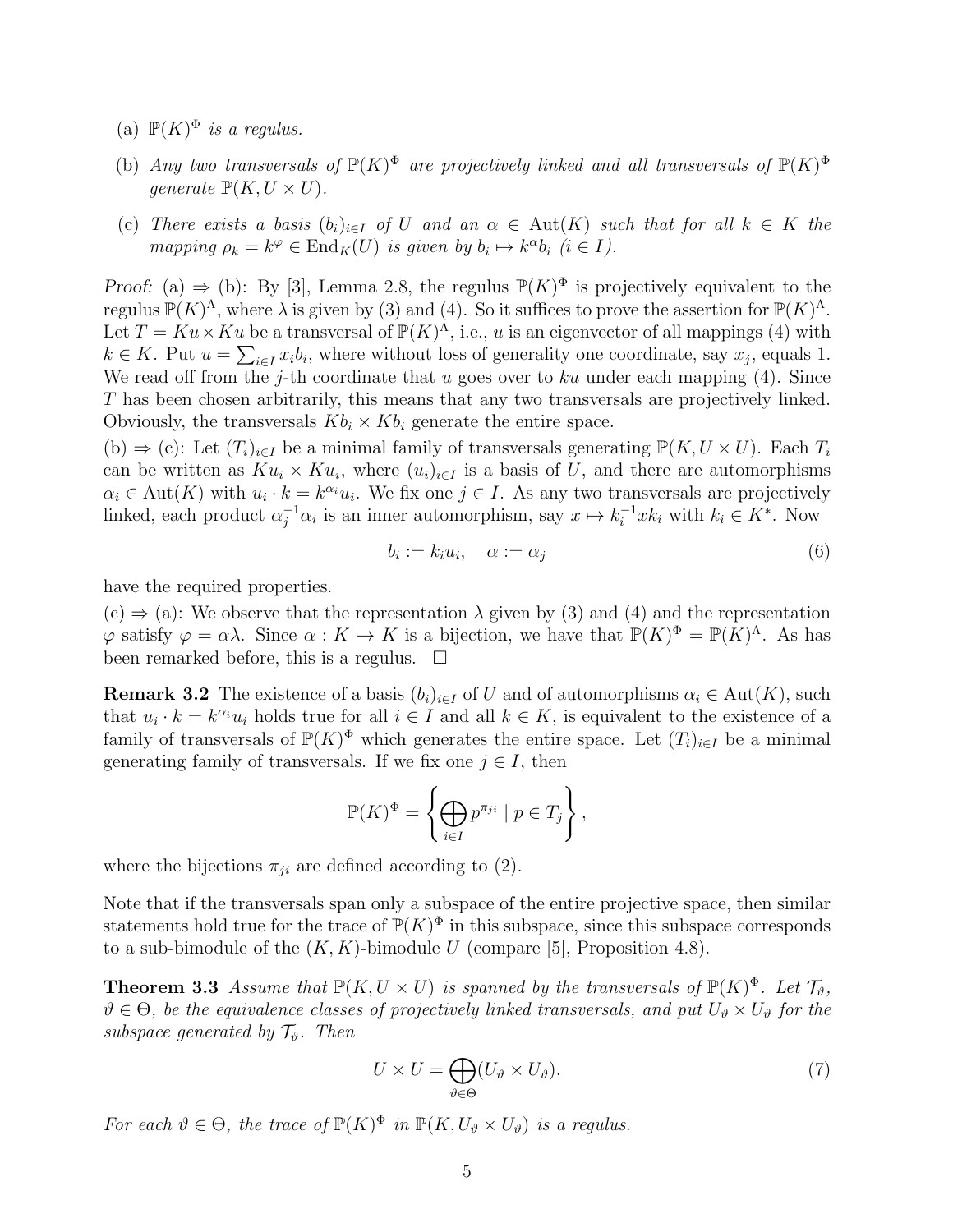- (a)  $\mathbb{P}(K)^{\Phi}$  *is a regulus.*
- (b) Any two transversals of  $\mathbb{P}(K)^{\Phi}$  are projectively linked and all transversals of  $\mathbb{P}(K)^{\Phi}$ *generate*  $\mathbb{P}(K, U \times U)$ .
- (c) *There exists a basis*  $(b_i)_{i\in I}$  *of* U *and an*  $\alpha \in Aut(K)$  *such that for all*  $k \in K$  *the mapping*  $\rho_k = k^{\varphi} \in \text{End}_K(U)$  *is given by*  $b_i \mapsto k^{\alpha}b_i$  ( $i \in I$ ).

Proof: (a)  $\Rightarrow$  (b): By [3], Lemma 2.8, the regulus  $\mathbb{P}(K)^{\Phi}$  is projectively equivalent to the regulus  $\mathbb{P}(K)^{\Lambda}$ , where  $\lambda$  is given by (3) and (4). So it suffices to prove the assertion for  $\mathbb{P}(K)^{\Lambda}$ . Let  $T = Ku \times Ku$  be a transversal of  $\mathbb{P}(K)^{\hat{\Lambda}}$ , i.e., u is an eigenvector of all mappings (4) with  $k \in K$ . Put  $u = \sum_{i \in I} x_i b_i$ , where without loss of generality one coordinate, say  $x_j$ , equals 1. We read off from the j-th coordinate that u goes over to ku under each mapping  $(4)$ . Since T has been chosen arbitrarily, this means that any two transversals are projectively linked. Obviously, the transversals  $Kb_i \times Kb_i$  generate the entire space.

(b)  $\Rightarrow$  (c): Let  $(T_i)_{i\in I}$  be a minimal family of transversals generating  $\mathbb{P}(K, U \times U)$ . Each  $T_i$ can be written as  $K u_i \times K u_i$ , where  $(u_i)_{i \in I}$  is a basis of U, and there are automorphisms  $\alpha_i \in \text{Aut}(K)$  with  $u_i \cdot k = k^{\alpha_i} u_i$ . We fix one  $j \in I$ . As any two transversals are projectively linked, each product  $\alpha_j^{-1}\alpha_i$  is an inner automorphism, say  $x \mapsto k_i^{-1}x k_i$  with  $k_i \in K^*$ . Now

$$
b_i := k_i u_i, \quad \alpha := \alpha_j \tag{6}
$$

have the required properties.

 $(c) \Rightarrow (a)$ : We observe that the representation  $\lambda$  given by (3) and (4) and the representation  $\varphi$  satisfy  $\varphi = \alpha \lambda$ . Since  $\alpha : K \to K$  is a bijection, we have that  $\mathbb{P}(K)^{\Phi} = \mathbb{P}(K)^{\Lambda}$ . As has been remarked before, this is a regulus.  $\Box$ 

**Remark 3.2** The existence of a basis  $(b_i)_{i\in I}$  of U and of automorphisms  $\alpha_i \in \text{Aut}(K)$ , such that  $u_i \cdot k = k^{\alpha_i} u_i$  holds true for all  $i \in I$  and all  $k \in K$ , is equivalent to the existence of a family of transversals of  $\mathbb{P}(K)^{\Phi}$  which generates the entire space. Let  $(T_i)_{i\in I}$  be a minimal generating family of transversals. If we fix one  $j \in I$ , then

$$
\mathbb{P}(K)^{\Phi} = \left\{ \bigoplus_{i \in I} p^{\pi_{ji}} \mid p \in T_j \right\},\
$$

where the bijections  $\pi_{ji}$  are defined according to (2).

Note that if the transversals span only a subspace of the entire projective space, then similar statements hold true for the trace of  $\mathbb{P}(K)^{\Phi}$  in this subspace, since this subspace corresponds to a sub-bimodule of the  $(K, K)$ -bimodule U (compare [5], Proposition 4.8).

**Theorem 3.3** *Assume that*  $\mathbb{P}(K, U \times U)$  *is spanned by the transversals of*  $\mathbb{P}(K)^{\Phi}$ *. Let*  $\mathcal{T}_{\vartheta}$ *,*  $\vartheta \in \Theta$ , be the equivalence classes of projectively linked transversals, and put  $U_{\vartheta} \times U_{\vartheta}$  for the *subspace generated by*  $\mathcal{T}_{\vartheta}$ *. Then* 

$$
U \times U = \bigoplus_{\vartheta \in \Theta} (U_{\vartheta} \times U_{\vartheta}). \tag{7}
$$

*For each*  $\vartheta \in \Theta$ *, the trace of*  $\mathbb{P}(K)^{\Phi}$  *in*  $\mathbb{P}(K, U_{\vartheta} \times U_{\vartheta})$  *is a regulus.*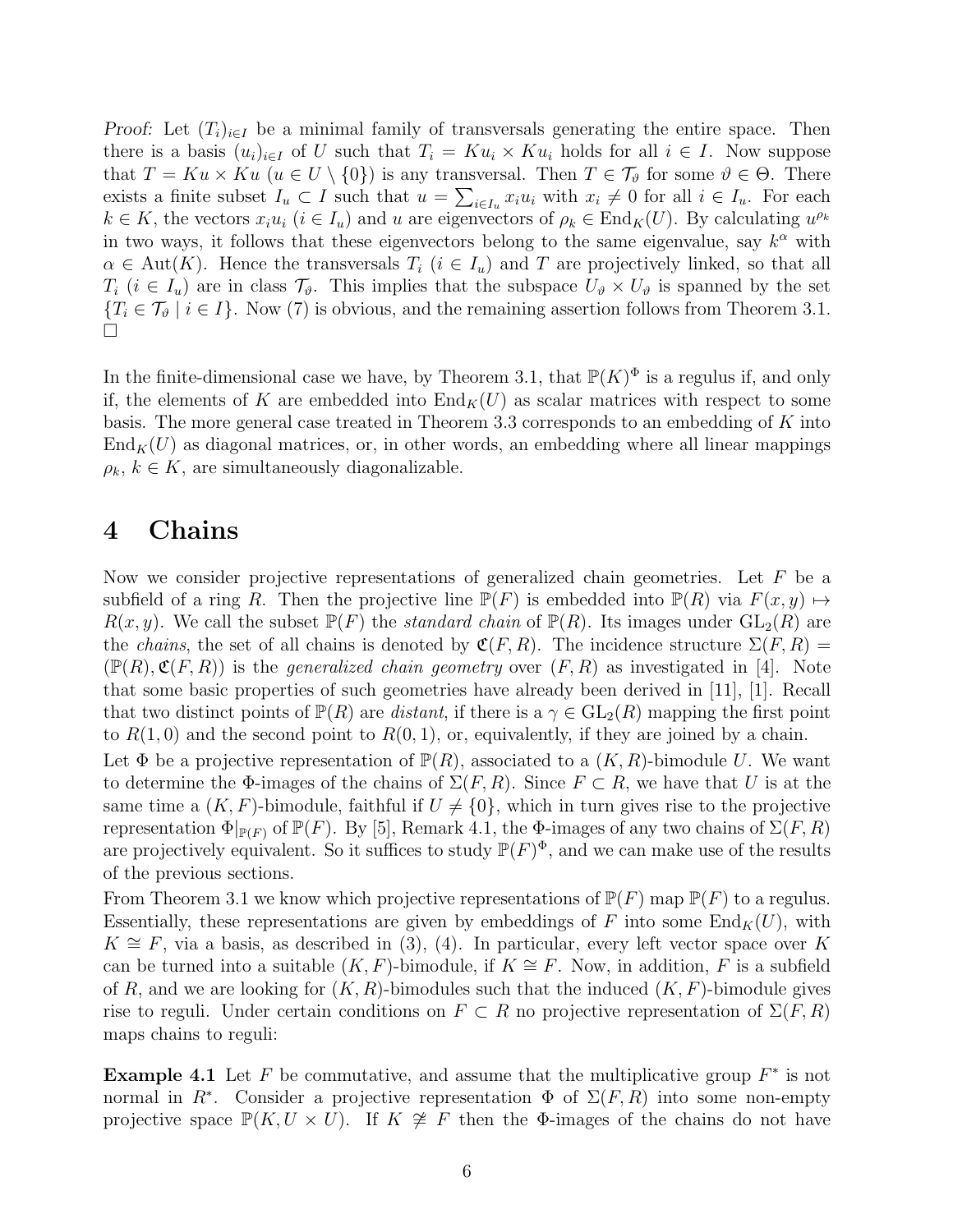Proof: Let  $(T_i)_{i\in I}$  be a minimal family of transversals generating the entire space. Then there is a basis  $(u_i)_{i\in I}$  of U such that  $T_i = Ku_i \times Ku_i$  holds for all  $i \in I$ . Now suppose that  $T = Ku \times Ku$   $(u \in U \setminus \{0\})$  is any transversal. Then  $T \in \mathcal{T}_{\vartheta}$  for some  $\vartheta \in \Theta$ . There exists a finite subset  $I_u \subset I$  such that  $u = \sum_{i \in I_u} x_i u_i$  with  $x_i \neq 0$  for all  $i \in I_u$ . For each  $k \in K$ , the vectors  $x_i u_i$   $(i \in I_u)$  and u are eigenvectors of  $\rho_k \in End_K(U)$ . By calculating  $u^{\rho_k}$ in two ways, it follows that these eigenvectors belong to the same eigenvalue, say  $k^{\alpha}$  with  $\alpha \in \text{Aut}(K)$ . Hence the transversals  $T_i$   $(i \in I_u)$  and T are projectively linked, so that all  $T_i$   $(i \in I_u)$  are in class  $\mathcal{T}_{\vartheta}$ . This implies that the subspace  $U_{\vartheta} \times U_{\vartheta}$  is spanned by the set  ${T_i \in \mathcal{T}_{\vartheta} \mid i \in I}$ . Now (7) is obvious, and the remaining assertion follows from Theorem 3.1.  $\Box$ 

In the finite-dimensional case we have, by Theorem 3.1, that  $\mathbb{P}(K)^{\Phi}$  is a regulus if, and only if, the elements of K are embedded into  $\text{End}_K(U)$  as scalar matrices with respect to some basis. The more general case treated in Theorem 3.3 corresponds to an embedding of  $K$  into  $\text{End}_K(U)$  as diagonal matrices, or, in other words, an embedding where all linear mappings  $\rho_k, k \in K$ , are simultaneously diagonalizable.

#### 4 Chains

Now we consider projective representations of generalized chain geometries. Let  $F$  be a subfield of a ring R. Then the projective line  $\mathbb{P}(F)$  is embedded into  $\mathbb{P}(R)$  via  $F(x, y) \mapsto$  $R(x, y)$ . We call the subset  $\mathbb{P}(F)$  the *standard chain* of  $\mathbb{P}(R)$ . Its images under  $GL_2(R)$  are the *chains*, the set of all chains is denoted by  $\mathfrak{C}(F,R)$ . The incidence structure  $\Sigma(F,R)$  =  $(\mathbb{P}(R), \mathfrak{C}(F, R))$  is the *generalized chain geometry* over  $(F, R)$  as investigated in [4]. Note that some basic properties of such geometries have already been derived in [11], [1]. Recall that two distinct points of  $\mathbb{P}(R)$  are *distant*, if there is a  $\gamma \in GL_2(R)$  mapping the first point to  $R(1,0)$  and the second point to  $R(0,1)$ , or, equivalently, if they are joined by a chain.

Let  $\Phi$  be a projective representation of  $\mathbb{P}(R)$ , associated to a  $(K, R)$ -bimodule U. We want to determine the  $\Phi$ -images of the chains of  $\Sigma(F, R)$ . Since  $F \subset R$ , we have that U is at the same time a  $(K, F)$ -bimodule, faithful if  $U \neq \{0\}$ , which in turn gives rise to the projective representation  $\Phi|_{\mathbb{P}(F)}$  of  $\mathbb{P}(F)$ . By [5], Remark 4.1, the Φ-images of any two chains of  $\Sigma(F, R)$ are projectively equivalent. So it suffices to study  $\mathbb{P}(F)^{\Phi}$ , and we can make use of the results of the previous sections.

From Theorem 3.1 we know which projective representations of  $\mathbb{P}(F)$  map  $\mathbb{P}(F)$  to a regulus. Essentially, these representations are given by embeddings of F into some  $\text{End}_K(U)$ , with  $K \cong F$ , via a basis, as described in (3), (4). In particular, every left vector space over K can be turned into a suitable  $(K, F)$ -bimodule, if  $K \cong F$ . Now, in addition, F is a subfield of R, and we are looking for  $(K, R)$ -bimodules such that the induced  $(K, F)$ -bimodule gives rise to reguli. Under certain conditions on  $F \subset R$  no projective representation of  $\Sigma(F, R)$ maps chains to reguli:

**Example 4.1** Let  $F$  be commutative, and assume that the multiplicative group  $F^*$  is not normal in  $R^*$ . Consider a projective representation  $\Phi$  of  $\Sigma(F, R)$  into some non-empty projective space  $\mathbb{P}(K, U \times U)$ . If  $K \not\cong F$  then the  $\Phi$ -images of the chains do not have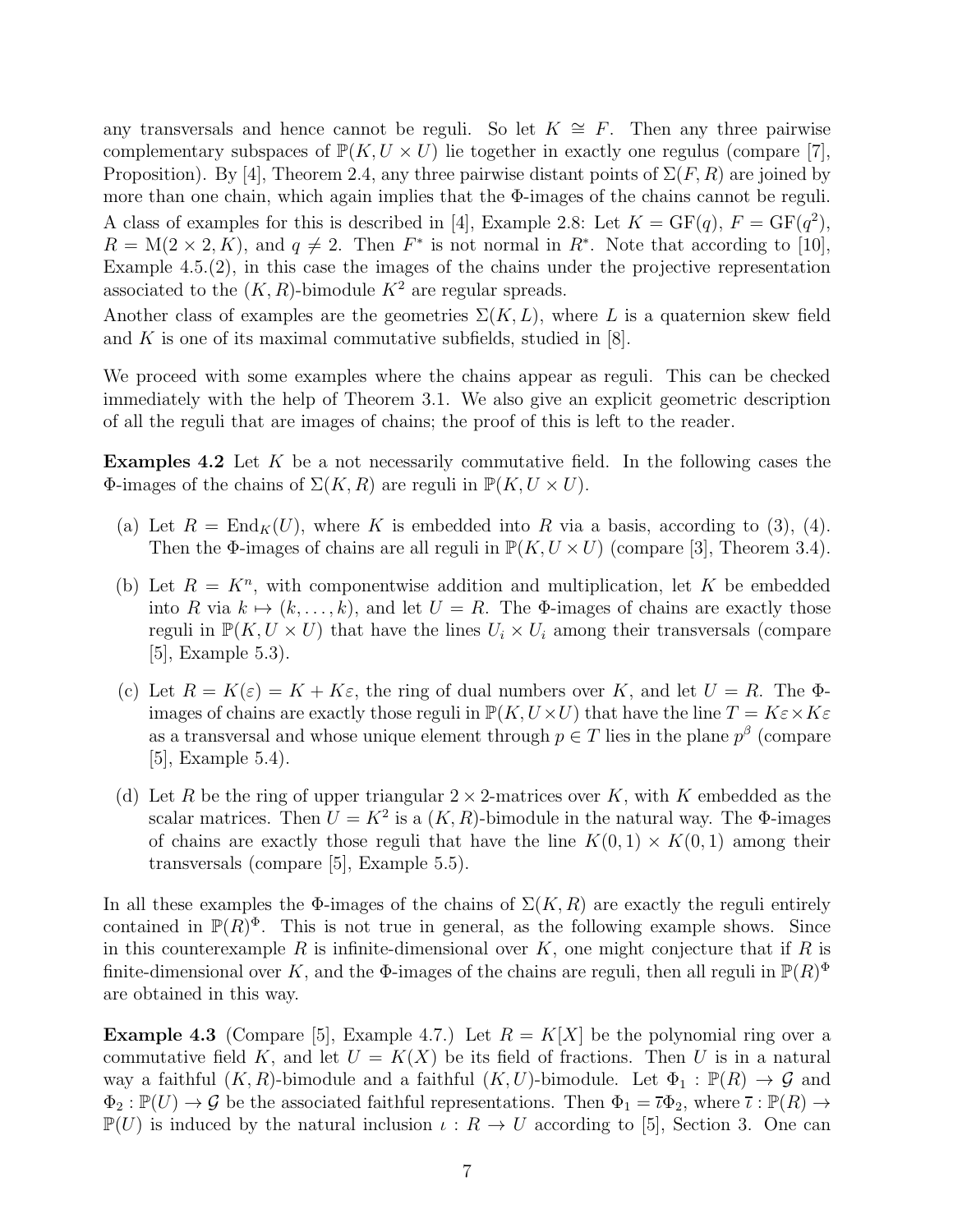any transversals and hence cannot be reguli. So let  $K \cong F$ . Then any three pairwise complementary subspaces of  $\mathbb{P}(K, U \times U)$  lie together in exactly one regulus (compare [7], Proposition). By [4], Theorem 2.4, any three pairwise distant points of  $\Sigma(F, R)$  are joined by more than one chain, which again implies that the  $\Phi$ -images of the chains cannot be reguli. A class of examples for this is described in [4], Example 2.8: Let  $K = GF(q)$ ,  $F = GF(q^2)$ ,  $R = M(2 \times 2, K)$ , and  $q \neq 2$ . Then  $F^*$  is not normal in  $R^*$ . Note that according to [10], Example 4.5.(2), in this case the images of the chains under the projective representation associated to the  $(K, R)$ -bimodule  $K^2$  are regular spreads.

Another class of examples are the geometries  $\Sigma(K, L)$ , where L is a quaternion skew field and K is one of its maximal commutative subfields, studied in  $[8]$ .

We proceed with some examples where the chains appear as reguli. This can be checked immediately with the help of Theorem 3.1. We also give an explicit geometric description of all the reguli that are images of chains; the proof of this is left to the reader.

**Examples 4.2** Let K be a not necessarily commutative field. In the following cases the Φ-images of the chains of  $\Sigma(K, R)$  are reguli in  $\mathbb{P}(K, U \times U)$ .

- (a) Let  $R = \text{End}_K(U)$ , where K is embedded into R via a basis, according to (3), (4). Then the  $\Phi$ -images of chains are all reguli in  $\mathbb{P}(K, U \times U)$  (compare [3], Theorem 3.4).
- (b) Let  $R = K<sup>n</sup>$ , with componentwise addition and multiplication, let K be embedded into R via  $k \mapsto (k, \ldots, k)$ , and let  $U = R$ . The  $\Phi$ -images of chains are exactly those reguli in  $\mathbb{P}(K, U \times U)$  that have the lines  $U_i \times U_i$  among their transversals (compare [5], Example 5.3).
- (c) Let  $R = K(\varepsilon) = K + K\varepsilon$ , the ring of dual numbers over K, and let  $U = R$ . The  $\Phi$ images of chains are exactly those reguli in  $\mathbb{P}(K, U \times U)$  that have the line  $T = K \varepsilon \times K \varepsilon$ as a transversal and whose unique element through  $p \in T$  lies in the plane  $p^{\beta}$  (compare  $|5|$ , Example 5.4).
- (d) Let R be the ring of upper triangular  $2 \times 2$ -matrices over K, with K embedded as the scalar matrices. Then  $U = K^2$  is a  $(K, R)$ -bimodule in the natural way. The  $\Phi$ -images of chains are exactly those reguli that have the line  $K(0, 1) \times K(0, 1)$  among their transversals (compare [5], Example 5.5).

In all these examples the  $\Phi$ -images of the chains of  $\Sigma(K, R)$  are exactly the reguli entirely contained in  $\mathbb{P}(R)^{\Phi}$ . This is not true in general, as the following example shows. Since in this counterexample R is infinite-dimensional over  $K$ , one might conjecture that if R is finite-dimensional over K, and the  $\Phi$ -images of the chains are reguli, then all reguli in  $\mathbb{P}(R)^{\Phi}$ are obtained in this way.

**Example 4.3** (Compare [5], Example 4.7.) Let  $R = K[X]$  be the polynomial ring over a commutative field K, and let  $U = K(X)$  be its field of fractions. Then U is in a natural way a faithful  $(K, R)$ -bimodule and a faithful  $(K, U)$ -bimodule. Let  $\Phi_1 : \mathbb{P}(R) \to \mathcal{G}$  and  $\Phi_2 : \mathbb{P}(U) \to \mathcal{G}$  be the associated faithful representations. Then  $\Phi_1 = \overline{\iota} \Phi_2$ , where  $\overline{\iota} : \mathbb{P}(R) \to$  $\mathbb{P}(U)$  is induced by the natural inclusion  $\iota : R \to U$  according to [5], Section 3. One can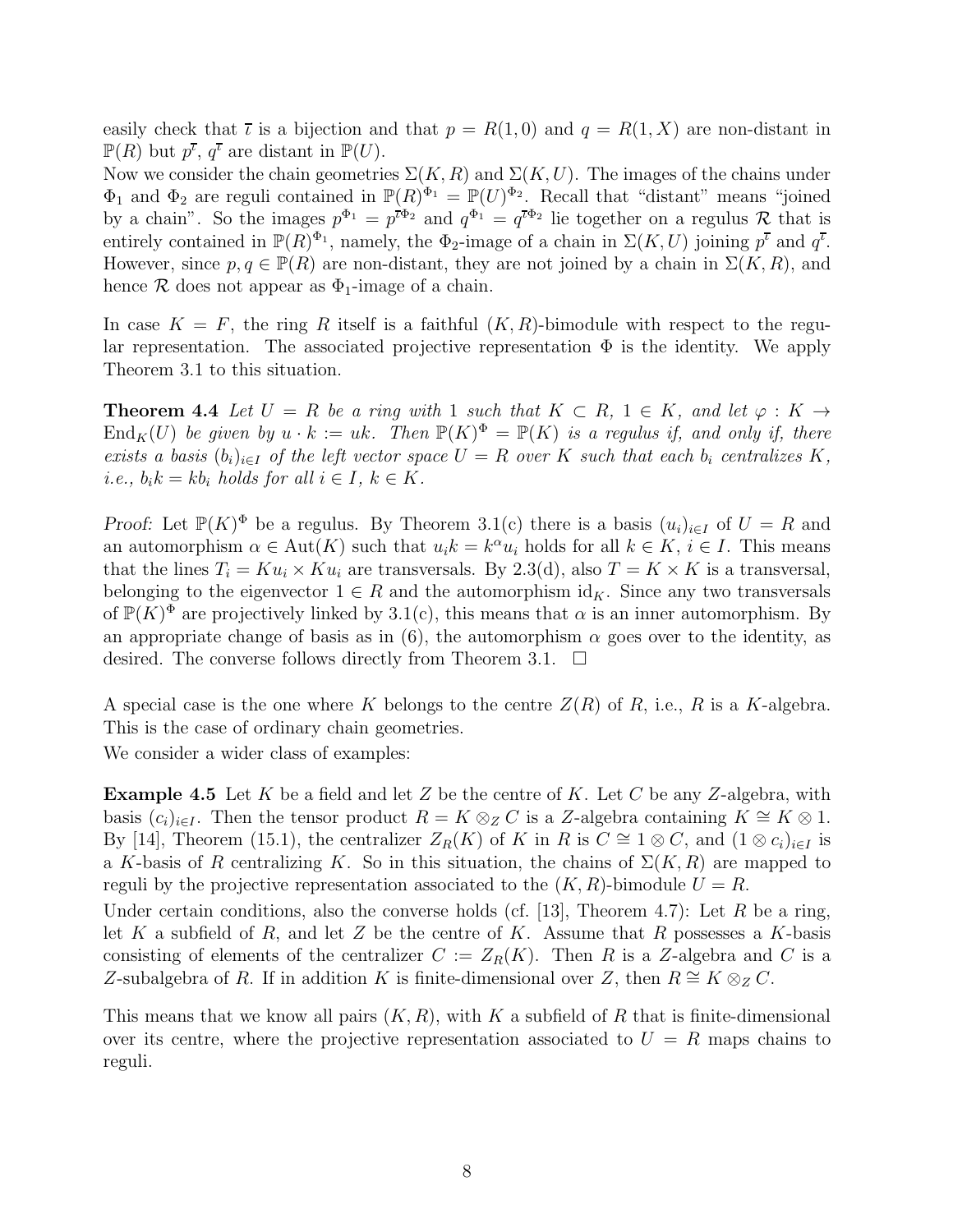easily check that  $\bar{\iota}$  is a bijection and that  $p = R(1,0)$  and  $q = R(1,X)$  are non-distant in  $\mathbb{P}(R)$  but  $p^{\overline{\iota}}, q^{\overline{\iota}}$  are distant in  $\mathbb{P}(U)$ .

Now we consider the chain geometries  $\Sigma(K, R)$  and  $\Sigma(K, U)$ . The images of the chains under  $\Phi_1$  and  $\Phi_2$  are reguli contained in  $\mathbb{P}(R)^{\Phi_1} = \mathbb{P}(U)^{\Phi_2}$ . Recall that "distant" means "joined by a chain". So the images  $p^{\Phi_1} = p^{\bar{\iota}\Phi_2}$  and  $q^{\Phi_1} = q^{\bar{\iota}\Phi_2}$  lie together on a regulus R that is entirely contained in  $\mathbb{P}(R)^{\Phi_1}$ , namely, the  $\Phi_2$ -image of a chain in  $\Sigma(K, U)$  joining  $p^{\bar{\iota}}$  and  $q^{\bar{\iota}}$ . However, since  $p, q \in \mathbb{P}(R)$  are non-distant, they are not joined by a chain in  $\Sigma(K, R)$ , and hence  $\mathcal R$  does not appear as  $\Phi_1$ -image of a chain.

In case  $K = F$ , the ring R itself is a faithful  $(K, R)$ -bimodule with respect to the regular representation. The associated projective representation  $\Phi$  is the identity. We apply Theorem 3.1 to this situation.

**Theorem 4.4** Let  $U = R$  be a ring with 1 such that  $K \subset R$ ,  $1 \in K$ , and let  $\varphi : K \to$  $\text{End}_K(U)$  be given by  $u \cdot k := uk$ . Then  $\mathbb{P}(K)^{\Phi} = \mathbb{P}(K)$  is a regulus if, and only if, there *exists a basis*  $(b_i)_{i \in I}$  *of the left vector space*  $U = R$  *over* K *such that each*  $b_i$  *centralizes* K, *i.e.,*  $b_i k = k b_i$  *holds for all*  $i \in I, k \in K$ *.* 

*Proof:* Let  $\mathbb{P}(K)^{\Phi}$  be a regulus. By Theorem 3.1(c) there is a basis  $(u_i)_{i\in I}$  of  $U = R$  and an automorphism  $\alpha \in \text{Aut}(K)$  such that  $u_i k = k^{\alpha} u_i$  holds for all  $k \in K$ ,  $i \in I$ . This means that the lines  $T_i = Ku_i \times Ku_i$  are transversals. By 2.3(d), also  $T = K \times K$  is a transversal, belonging to the eigenvector  $1 \in R$  and the automorphism id<sub>K</sub>. Since any two transversals of  $\mathbb{P}(K)^{\Phi}$  are projectively linked by 3.1(c), this means that  $\alpha$  is an inner automorphism. By an appropriate change of basis as in (6), the automorphism  $\alpha$  goes over to the identity, as desired. The converse follows directly from Theorem 3.1.  $\Box$ 

A special case is the one where K belongs to the centre  $Z(R)$  of R, i.e., R is a K-algebra. This is the case of ordinary chain geometries.

We consider a wider class of examples:

**Example 4.5** Let K be a field and let Z be the centre of K. Let C be any Z-algebra, with basis  $(c_i)_{i\in I}$ . Then the tensor product  $R = K \otimes_{Z} C$  is a Z-algebra containing  $K \cong K \otimes 1$ . By [14], Theorem (15.1), the centralizer  $Z_R(K)$  of K in R is  $C \cong 1 \otimes C$ , and  $(1 \otimes c_i)_{i \in I}$  is a K-basis of R centralizing K. So in this situation, the chains of  $\Sigma(K, R)$  are mapped to reguli by the projective representation associated to the  $(K, R)$ -bimodule  $U = R$ .

Under certain conditions, also the converse holds (cf. [13], Theorem 4.7): Let R be a ring, let K a subfield of R, and let Z be the centre of K. Assume that R possesses a K-basis consisting of elements of the centralizer  $C := Z_R(K)$ . Then R is a Z-algebra and C is a Z-subalgebra of R. If in addition K is finite-dimensional over Z, then  $R \cong K \otimes_Z C$ .

This means that we know all pairs  $(K, R)$ , with K a subfield of R that is finite-dimensional over its centre, where the projective representation associated to  $U = R$  maps chains to reguli.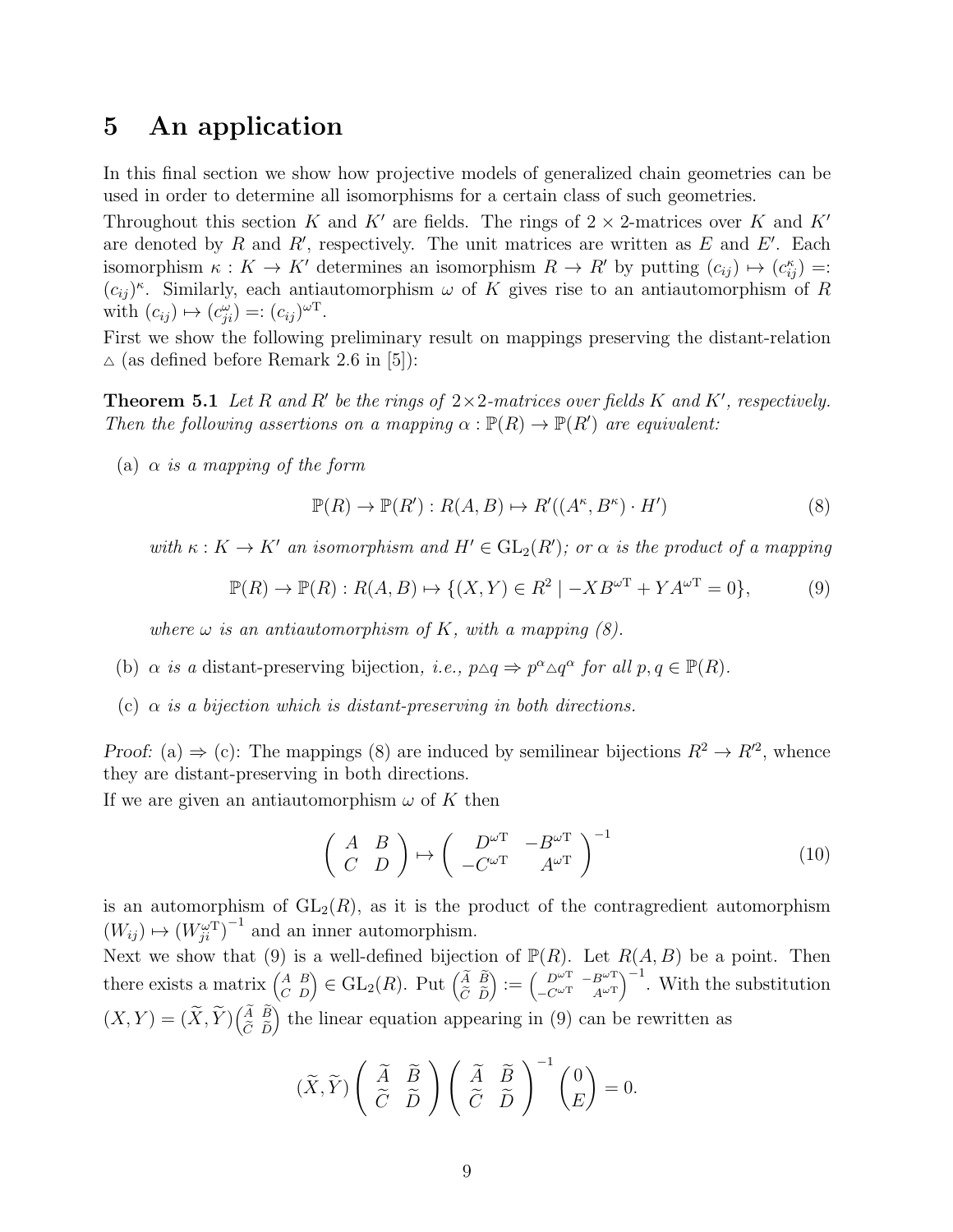#### 5 An application

In this final section we show how projective models of generalized chain geometries can be used in order to determine all isomorphisms for a certain class of such geometries.

Throughout this section K and K' are fields. The rings of  $2 \times 2$ -matrices over K and K' are denoted by  $R$  and  $R'$ , respectively. The unit matrices are written as  $E$  and  $E'$ . Each isomorphism  $\kappa : K \to K'$  determines an isomorphism  $R \to R'$  by putting  $(c_{ij}) \mapsto (c_{ij}^{\kappa}) =$ :  $(c_{ij})^{\kappa}$ . Similarly, each antiautomorphism  $\omega$  of K gives rise to an antiautomorphism of R with  $(c_{ij}) \mapsto (c_{ji}^{\omega}) =: (c_{ij})^{\omega T}$ .

First we show the following preliminary result on mappings preserving the distant-relation  $\triangle$  (as defined before Remark 2.6 in [5]):

**Theorem 5.1** Let R and R' be the rings of  $2 \times 2$ -matrices over fields K and K', respectively. *Then the following assertions on a mapping*  $\alpha : \mathbb{P}(R) \to \mathbb{P}(R')$  *are equivalent:* 

(a) α *is a mapping of the form*

$$
\mathbb{P}(R) \to \mathbb{P}(R') : R(A, B) \mapsto R'((A^{\kappa}, B^{\kappa}) \cdot H') \tag{8}
$$

with  $\kappa: K \to K'$  *an isomorphism and*  $H' \in GL_2(R')$ *; or*  $\alpha$  *is the product of a mapping* 

$$
\mathbb{P}(R) \to \mathbb{P}(R) : R(A, B) \mapsto \{ (X, Y) \in R^2 \mid -XB^{\omega T} + YA^{\omega T} = 0 \},\tag{9}
$$

*where*  $\omega$  *is an antiautomorphism of* K, with a mapping  $(8)$ .

- (b)  $\alpha$  *is a* distant-preserving bijection, *i.e.*,  $p \triangle q \Rightarrow p^{\alpha} \triangle q^{\alpha}$  *for all*  $p, q \in \mathbb{P}(R)$ *.*
- (c)  $\alpha$  *is a bijection which is distant-preserving in both directions.*

Proof: (a)  $\Rightarrow$  (c): The mappings (8) are induced by semilinear bijections  $R^2 \rightarrow R^2$ , whence they are distant-preserving in both directions.

If we are given an antiautomorphism  $\omega$  of K then

$$
\left(\begin{array}{cc} A & B \\ C & D \end{array}\right) \mapsto \left(\begin{array}{cc} D^{\omega T} & -B^{\omega T} \\ -C^{\omega T} & A^{\omega T} \end{array}\right)^{-1} \tag{10}
$$

is an automorphism of  $GL_2(R)$ , as it is the product of the contragredient automorphism  $(W_{ij}) \mapsto (W_{ji}^{\omega T})^{-1}$  and an inner automorphism.

Next we show that (9) is a well-defined bijection of  $\mathbb{P}(R)$ . Let  $R(A, B)$  be a point. Then there exists a matrix  $\begin{pmatrix} A & B \\ C & D \end{pmatrix} \in GL_2(R)$ . Put  $\begin{pmatrix} \widetilde{A} & \widetilde{B} \\ \widetilde{C} & \widetilde{D} \end{pmatrix}$  $C/D$  $\Big) := \Big( \begin{matrix} D^{\omega T} & -B^{\omega T} \\ -C^{\omega T} & 4^{\omega T} \end{matrix} \Big)$  $-C^{\omega T}$   $A^{\omega T}$  $\int_{0}^{-1}$ . With the substitution  $(X,Y) = (\widetilde{X},\widetilde{Y}) \begin{pmatrix} \widetilde{A} & \widetilde{B} \\ \widetilde{C} & \widetilde{D} \end{pmatrix}$  $C/D$ ) the linear equation appearing in  $(9)$  can be rewritten as

$$
(\widetilde{X}, \widetilde{Y}) \left( \begin{array}{cc} \widetilde{A} & \widetilde{B} \\ \widetilde{C} & \widetilde{D} \end{array} \right) \left( \begin{array}{cc} \widetilde{A} & \widetilde{B} \\ \widetilde{C} & \widetilde{D} \end{array} \right)^{-1} \left( \begin{array}{c} 0 \\ E \end{array} \right) = 0.
$$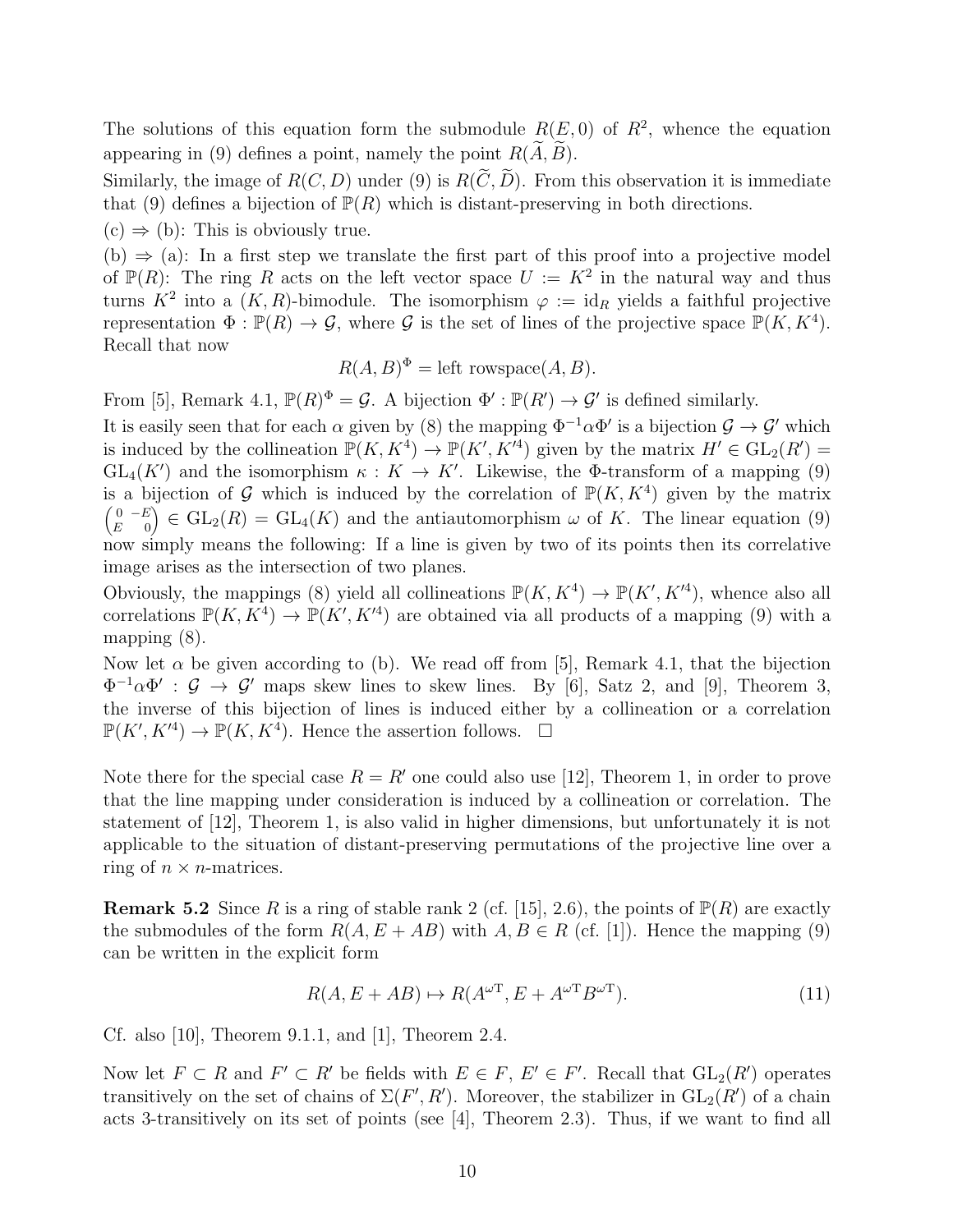The solutions of this equation form the submodule  $R(E, 0)$  of  $R^2$ , whence the equation appearing in (9) defines a point, namely the point  $R(\widetilde{A}, \widetilde{B})$ .

Similarly, the image of  $R(C, D)$  under (9) is  $R(\widetilde{C}, \widetilde{D})$ . From this observation it is immediate that (9) defines a bijection of  $\mathbb{P}(R)$  which is distant-preserving in both directions.

 $(c) \Rightarrow (b)$ : This is obviously true.

(b)  $\Rightarrow$  (a): In a first step we translate the first part of this proof into a projective model of  $\mathbb{P}(R)$ : The ring R acts on the left vector space  $U := K^2$  in the natural way and thus turns  $K^2$  into a  $(K, R)$ -bimodule. The isomorphism  $\varphi := \mathrm{id}_R$  yields a faithful projective representation  $\Phi: \mathbb{P}(R) \to \mathcal{G}$ , where  $\mathcal G$  is the set of lines of the projective space  $\mathbb{P}(K, K^4)$ . Recall that now

$$
R(A, B)^{\Phi} = \text{left rowspace}(A, B).
$$

From [5], Remark 4.1,  $\mathbb{P}(R)^{\Phi} = \mathcal{G}$ . A bijection  $\Phi' : \mathbb{P}(R') \to \mathcal{G}'$  is defined similarly.

It is easily seen that for each  $\alpha$  given by (8) the mapping  $\Phi^{-1}\alpha\Phi'$  is a bijection  $\mathcal{G} \to \mathcal{G}'$  which is induced by the collineation  $\mathbb{P}(K, K^4) \to \mathbb{P}(K', K'^4)$  given by the matrix  $H' \in GL_2(R') =$  $GL_4(K')$  and the isomorphism  $\kappa: K \to K'$ . Likewise, the  $\Phi$ -transform of a mapping (9) is a bijection of G which is induced by the correlation of  $\mathbb{P}(K, K^4)$  given by the matrix  $(0 -E)$  $E = 0$  $\hat{C} \in GL_2(R) = GL_4(K)$  and the antiautomorphism  $\omega$  of K. The linear equation (9) now simply means the following: If a line is given by two of its points then its correlative image arises as the intersection of two planes.

Obviously, the mappings (8) yield all collineations  $\mathbb{P}(K, K^4) \to \mathbb{P}(K', K'^4)$ , whence also all correlations  $\mathbb{P}(K, K^4) \to \mathbb{P}(K', K'^4)$  are obtained via all products of a mapping (9) with a mapping (8).

Now let  $\alpha$  be given according to (b). We read off from [5], Remark 4.1, that the bijection  $\Phi^{-1}\alpha\Phi'$ :  $\mathcal{G} \to \mathcal{G}'$  maps skew lines to skew lines. By [6], Satz 2, and [9], Theorem 3, the inverse of this bijection of lines is induced either by a collineation or a correlation  $\mathbb{P}(K', K'^4) \to \mathbb{P}(K, K^4)$ . Hence the assertion follows.  $\square$ 

Note there for the special case  $R = R'$  one could also use [12], Theorem 1, in order to prove that the line mapping under consideration is induced by a collineation or correlation. The statement of [12], Theorem 1, is also valid in higher dimensions, but unfortunately it is not applicable to the situation of distant-preserving permutations of the projective line over a ring of  $n \times n$ -matrices.

**Remark 5.2** Since R is a ring of stable rank 2 (cf. [15], 2.6), the points of  $\mathbb{P}(R)$  are exactly the submodules of the form  $R(A, E + AB)$  with  $A, B \in R$  (cf. [1]). Hence the mapping (9) can be written in the explicit form

$$
R(A, E + AB) \mapsto R(A^{\omega \mathsf{T}}, E + A^{\omega \mathsf{T}} B^{\omega \mathsf{T}}). \tag{11}
$$

Cf. also [10], Theorem 9.1.1, and [1], Theorem 2.4.

Now let  $F \subset R$  and  $F' \subset R'$  be fields with  $E \in F$ ,  $E' \in F'$ . Recall that  $GL_2(R')$  operates transitively on the set of chains of  $\Sigma(F', R')$ . Moreover, the stabilizer in  $GL_2(R')$  of a chain acts 3-transitively on its set of points (see [4], Theorem 2.3). Thus, if we want to find all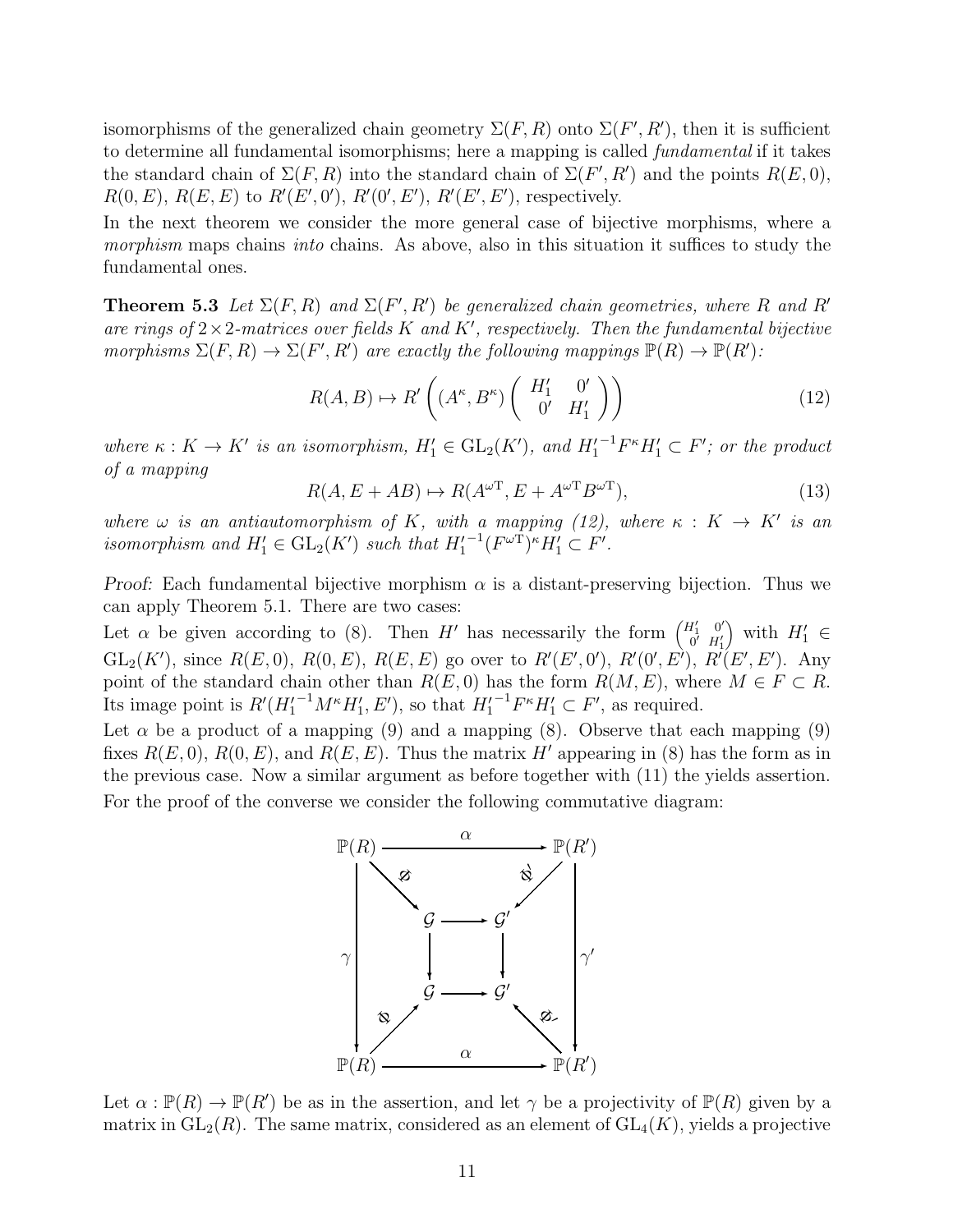isomorphisms of the generalized chain geometry  $\Sigma(F, R)$  onto  $\Sigma(F', R')$ , then it is sufficient to determine all fundamental isomorphisms; here a mapping is called *fundamental* if it takes the standard chain of  $\Sigma(F, R)$  into the standard chain of  $\Sigma(F', R')$  and the points  $R(E, 0)$ ,  $R(0, E), R(E, E)$  to  $R'(E', 0'), R'(0', E'), R'(E', E'),$  respectively.

In the next theorem we consider the more general case of bijective morphisms, where a *morphism* maps chains *into* chains. As above, also in this situation it suffices to study the fundamental ones.

**Theorem 5.3** Let  $\Sigma(F, R)$  and  $\Sigma(F', R')$  be generalized chain geometries, where R and R' *are rings of* 2×2*-matrices over fields* K *and* K′ *, respectively. Then the fundamental bijective morphisms*  $\Sigma(F, R) \to \Sigma(F', R')$  *are exactly the following mappings*  $\mathbb{P}(R) \to \mathbb{P}(R')$ *:* 

$$
R(A, B) \mapsto R'\left( (A^{\kappa}, B^{\kappa}) \left( \begin{array}{cc} H'_1 & 0' \\ 0' & H'_1 \end{array} \right) \right) \tag{12}
$$

where  $\kappa: K \to K'$  is an isomorphism,  $H'_1 \in GL_2(K')$ , and  $H'^{-1}_1F^{\kappa}H'_1 \subset F'$ ; or the product *of a mapping*

$$
R(A, E + AB) \mapsto R(A^{\omega \mathsf{T}}, E + A^{\omega \mathsf{T}} B^{\omega \mathsf{T}}), \tag{13}
$$

*where*  $\omega$  *is an antiautomorphism of* K, with a mapping (12), where  $\kappa : K \to K'$  *is an isomorphism and*  $H'_1 \in GL_2(K')$  *such that*  $H'_1$  $^{-1}(F^{\omega T})^{\kappa}H_1' \subset F'.$ 

Proof: Each fundamental bijective morphism  $\alpha$  is a distant-preserving bijection. Thus we can apply Theorem 5.1. There are two cases:

Let  $\alpha$  be given according to (8). Then H' has necessarily the form  $\begin{pmatrix} H'_1 & 0' \\ 0 & H'_1 \end{pmatrix}$  $0$ <sup>t</sup>  $H_1'$ ) with  $H'_1 \in$  $GL_2(K')$ , since  $R(E,0)$ ,  $R(0,E)$ ,  $R(E,E)$  go over to  $R'(E',0')$ ,  $R'(0',E')$ ,  $R'(E',E')$ . Any point of the standard chain other than  $R(E, 0)$  has the form  $R(M, E)$ , where  $M \in F \subset R$ . Its image point is  $R'(H_1'^{-1}M^{\kappa}H_1', E')$ , so that  $H_1'^{-1}F^{\kappa}H_1' \subset F'$ , as required.

Let  $\alpha$  be a product of a mapping (9) and a mapping (8). Observe that each mapping (9) fixes  $R(E, 0)$ ,  $R(0, E)$ , and  $R(E, E)$ . Thus the matrix H' appearing in (8) has the form as in the previous case. Now a similar argument as before together with (11) the yields assertion. For the proof of the converse we consider the following commutative diagram:



Let  $\alpha : \mathbb{P}(R) \to \mathbb{P}(R')$  be as in the assertion, and let  $\gamma$  be a projectivity of  $\mathbb{P}(R)$  given by a matrix in  $GL_2(R)$ . The same matrix, considered as an element of  $GL_4(K)$ , yields a projective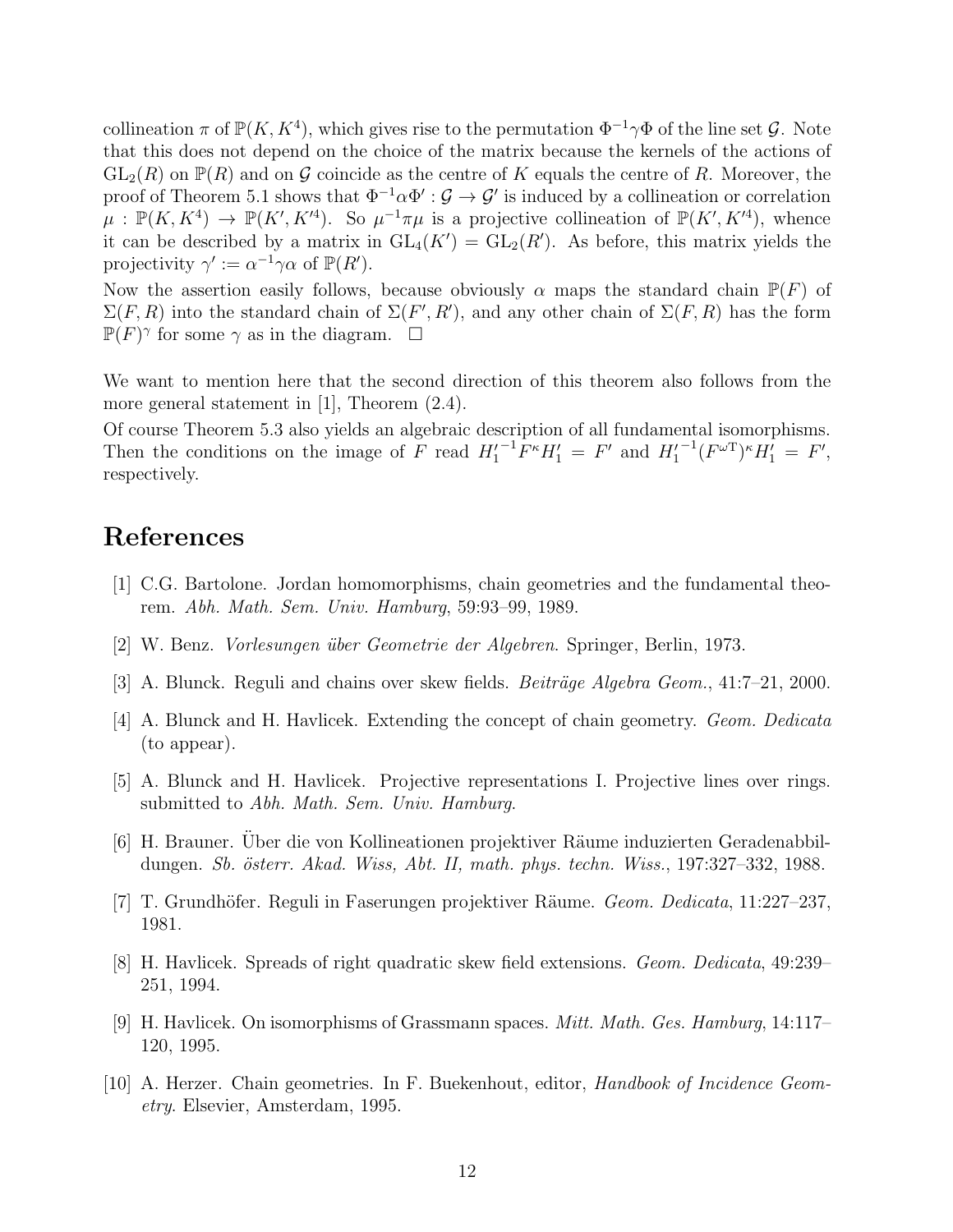collineation  $\pi$  of  $\mathbb{P}(K, K^4)$ , which gives rise to the permutation  $\Phi^{-1}\gamma\Phi$  of the line set  $\mathcal{G}$ . Note that this does not depend on the choice of the matrix because the kernels of the actions of  $GL_2(R)$  on  $\mathbb{P}(R)$  and on G coincide as the centre of K equals the centre of R. Moreover, the proof of Theorem 5.1 shows that  $\Phi^{-1}\alpha\Phi':\mathcal{G}\to\mathcal{G}'$  is induced by a collineation or correlation  $\mu : \mathbb{P}(K, K^4) \to \mathbb{P}(K', K'^4)$ . So  $\mu^{-1}\pi\mu$  is a projective collineation of  $\mathbb{P}(K', K'^4)$ , whence it can be described by a matrix in  $GL_4(K') = GL_2(R')$ . As before, this matrix yields the projectivity  $\gamma' := \alpha^{-1} \gamma \alpha$  of  $\mathbb{P}(R')$ .

Now the assertion easily follows, because obviously  $\alpha$  maps the standard chain  $\mathbb{P}(F)$  of  $\Sigma(F, R)$  into the standard chain of  $\Sigma(F', R')$ , and any other chain of  $\Sigma(F, R)$  has the form  $\mathbb{P}(F)^\gamma$  for some  $\gamma$  as in the diagram.  $\Box$ 

We want to mention here that the second direction of this theorem also follows from the more general statement in [1], Theorem (2.4).

Of course Theorem 5.3 also yields an algebraic description of all fundamental isomorphisms. Then the conditions on the image of F read  $H_1'^{-1}F^{\kappa}H_1' = F'$  and  $H_1'$  $^{-1}(F^{\omega T})^{\kappa}H_1' = F',$ respectively.

## References

- [1] C.G. Bartolone. Jordan homomorphisms, chain geometries and the fundamental theorem. *Abh. Math. Sem. Univ. Hamburg*, 59:93–99, 1989.
- [2] W. Benz. *Vorlesungen ¨uber Geometrie der Algebren*. Springer, Berlin, 1973.
- [3] A. Blunck. Reguli and chains over skew fields. *Beiträge Algebra Geom.*, 41:7–21, 2000.
- [4] A. Blunck and H. Havlicek. Extending the concept of chain geometry. *Geom. Dedicata* (to appear).
- [5] A. Blunck and H. Havlicek. Projective representations I. Projective lines over rings. submitted to *Abh. Math. Sem. Univ. Hamburg*.
- [6] H. Brauner. Uber die von Kollineationen projektiver Räume induzierten Geradenabbildungen. *Sb. ¨osterr. Akad. Wiss, Abt. II, math. phys. techn. Wiss.*, 197:327–332, 1988.
- [7] T. Grundh¨ofer. Reguli in Faserungen projektiver R¨aume. *Geom. Dedicata*, 11:227–237, 1981.
- [8] H. Havlicek. Spreads of right quadratic skew field extensions. *Geom. Dedicata*, 49:239– 251, 1994.
- [9] H. Havlicek. On isomorphisms of Grassmann spaces. *Mitt. Math. Ges. Hamburg*, 14:117– 120, 1995.
- [10] A. Herzer. Chain geometries. In F. Buekenhout, editor, *Handbook of Incidence Geometry*. Elsevier, Amsterdam, 1995.